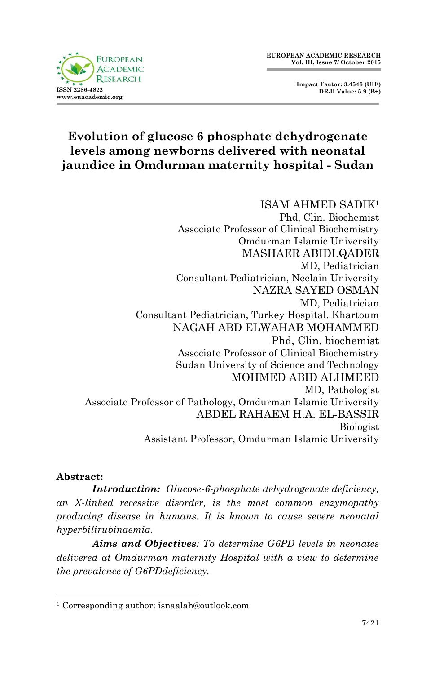



## **Evolution of glucose 6 phosphate dehydrogenate levels among newborns delivered with neonatal jaundice in Omdurman maternity hospital - Sudan**

# ISAM AHMED SADIK<sup>1</sup>

Phd, Clin. Biochemist Associate Professor of Clinical Biochemistry Omdurman Islamic University MASHAER ABIDLQADER MD, Pediatrician Consultant Pediatrician, Neelain University NAZRA SAYED OSMAN MD, Pediatrician Consultant Pediatrician, Turkey Hospital, Khartoum NAGAH ABD ELWAHAB MOHAMMED Phd, Clin. biochemist Associate Professor of Clinical Biochemistry Sudan University of Science and Technology MOHMED ABID ALHMEED MD, Pathologist Associate Professor of Pathology, Omdurman Islamic University ABDEL RAHAEM H.A. EL-BASSIR Biologist Assistant Professor, Omdurman Islamic University

#### **Abstract:**

1

*Introduction: Glucose-6-phosphate dehydrogenate deficiency, an X-linked recessive disorder, is the most common enzymopathy producing disease in humans. It is known to cause severe neonatal hyperbilirubinaemia.*

*Aims and Objectives: To determine G6PD levels in neonates delivered at Omdurman maternity Hospital with a view to determine the prevalence of G6PDdeficiency.*

<sup>1</sup> Corresponding author: isnaalah@outlook.com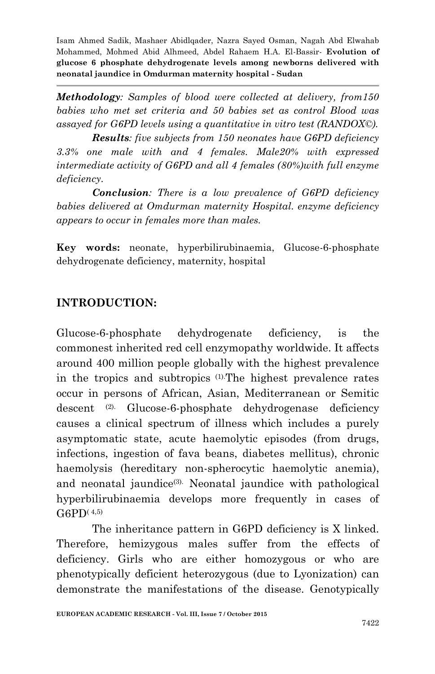*Methodology: Samples of blood were collected at delivery, from150 babies who met set criteria and 50 babies set as control Blood was assayed for G6PD levels using a quantitative in vitro test (RANDOX©).*

*Results: five subjects from 150 neonates have G6PD deficiency 3.3% one male with and 4 females. Male20% with expressed intermediate activity of G6PD and all 4 females (80%)with full enzyme deficiency.*

*Conclusion: There is a low prevalence of G6PD deficiency babies delivered at Omdurman maternity Hospital. enzyme deficiency appears to occur in females more than males.* 

**Key words:** neonate, hyperbilirubinaemia, Glucose-6-phosphate dehydrogenate deficiency, maternity, hospital

### **INTRODUCTION:**

Glucose-6-phosphate dehydrogenate deficiency, is the commonest inherited red cell enzymopathy worldwide. It affects around 400 million people globally with the highest prevalence in the tropics and subtropics (1).The highest prevalence rates occur in persons of African, Asian, Mediterranean or Semitic descent (2). Glucose-6-phosphate dehydrogenase deficiency causes a clinical spectrum of illness which includes a purely asymptomatic state, acute haemolytic episodes (from drugs, infections, ingestion of fava beans, diabetes mellitus), chronic haemolysis (hereditary non-spherocytic haemolytic anemia), and neonatal jaundice<sup>(3)</sup>. Neonatal jaundice with pathological hyperbilirubinaemia develops more frequently in cases of  $G6PD(4,5)$ 

The inheritance pattern in G6PD deficiency is X linked. Therefore, hemizygous males suffer from the effects of deficiency. Girls who are either homozygous or who are phenotypically deficient heterozygous (due to Lyonization) can demonstrate the manifestations of the disease. Genotypically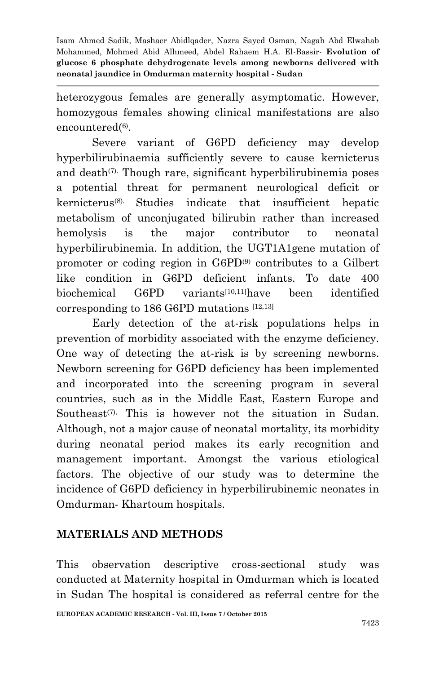heterozygous females are generally asymptomatic. However, homozygous females showing clinical manifestations are also encountered(6).

Severe variant of G6PD deficiency may develop hyperbilirubinaemia sufficiently severe to cause kernicterus and death $(7)$ . Though rare, significant hyperbilirubinemia poses a potential threat for permanent neurological deficit or kernicterus(8). Studies indicate that insufficient hepatic metabolism of unconjugated bilirubin rather than increased hemolysis is the major contributor to neonatal hyperbilirubinemia. In addition, the UGT1A1gene mutation of promoter or coding region in G6PD(9) contributes to a Gilbert like condition in G6PD deficient infants. To date 400 biochemical G6PD variants[10,11]have been identified corresponding to 186 G6PD mutations [12,13]

Early detection of the at-risk populations helps in prevention of morbidity associated with the enzyme deficiency. One way of detecting the at-risk is by screening newborns. Newborn screening for G6PD deficiency has been implemented and incorporated into the screening program in several countries, such as in the Middle East, Eastern Europe and Southeast<sup> $(7)$ </sup>, This is however not the situation in Sudan. Although, not a major cause of neonatal mortality, its morbidity during neonatal period makes its early recognition and management important. Amongst the various etiological factors. The objective of our study was to determine the incidence of G6PD deficiency in hyperbilirubinemic neonates in Omdurman- Khartoum hospitals.

### **MATERIALS AND METHODS**

This observation descriptive cross-sectional study was conducted at Maternity hospital in Omdurman which is located in Sudan The hospital is considered as referral centre for the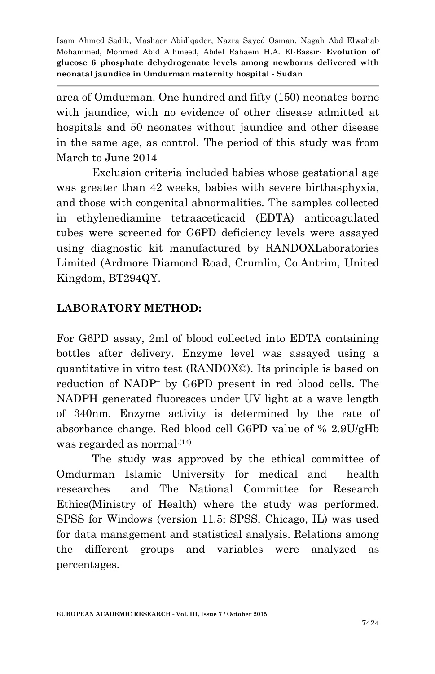area of Omdurman. One hundred and fifty (150) neonates borne with jaundice, with no evidence of other disease admitted at hospitals and 50 neonates without jaundice and other disease in the same age, as control. The period of this study was from March to June 2014

Exclusion criteria included babies whose gestational age was greater than 42 weeks, babies with severe birthasphyxia, and those with congenital abnormalities. The samples collected in ethylenediamine tetraaceticacid (EDTA) anticoagulated tubes were screened for G6PD deficiency levels were assayed using diagnostic kit manufactured by RANDOXLaboratories Limited (Ardmore Diamond Road, Crumlin, Co.Antrim, United Kingdom, BT294QY.

### **LABORATORY METHOD:**

For G6PD assay, 2ml of blood collected into EDTA containing bottles after delivery. Enzyme level was assayed using a quantitative in vitro test (RANDOX©). Its principle is based on reduction of NADP<sup>+</sup> by G6PD present in red blood cells. The NADPH generated fluoresces under UV light at a wave length of 340nm. Enzyme activity is determined by the rate of absorbance change. Red blood cell G6PD value of % 2.9U/gHb was regarded as normal.(14)

The study was approved by the ethical committee of Omdurman Islamic University for medical and health researches and The National Committee for Research Ethics(Ministry of Health) where the study was performed. SPSS for Windows (version 11.5; SPSS, Chicago, IL) was used for data management and statistical analysis. Relations among the different groups and variables were analyzed as percentages.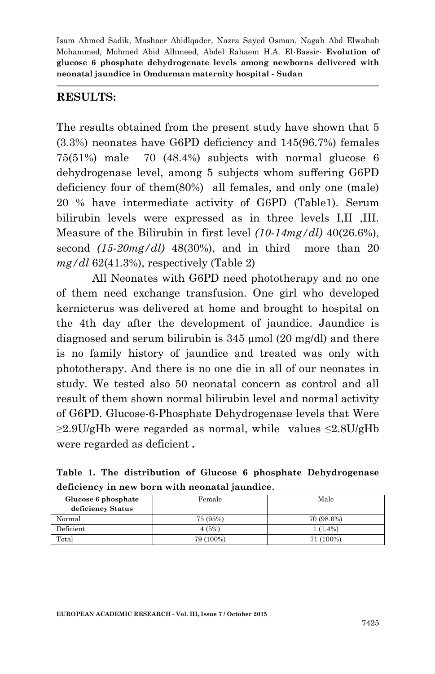#### **RESULTS:**

The results obtained from the present study have shown that 5 (3.3%) neonates have G6PD deficiency and 145(96.7%) females 75(51%) male 70 (48.4%) subjects with normal glucose 6 dehydrogenase level, among 5 subjects whom suffering G6PD deficiency four of them(80%) all females, and only one (male) 20 % have intermediate activity of G6PD (Table1). Serum bilirubin levels were expressed as in three levels I,II ,III. Measure of the Bilirubin in first level *(10-14mg/dl)* 40(26.6%), second *(15-20mg/dl)* 48(30%), and in third more than 20 *mg/dl* 62(41.3%), respectively (Table 2)

All Neonates with G6PD need phototherapy and no one of them need exchange transfusion. One girl who developed kernicterus was delivered at home and brought to hospital on the 4th day after the development of jaundice. Jaundice is diagnosed and serum bilirubin is  $345 \mu$  mol  $(20 \text{ mg/dl})$  and there is no family history of jaundice and treated was only with phototherapy. And there is no one die in all of our neonates in study. We tested also 50 neonatal concern as control and all result of them shown normal bilirubin level and normal activity of G6PD. Glucose-6-Phosphate Dehydrogenase levels that Were  $\geq$ 2.9U/gHb were regarded as normal, while values  $\leq$ 2.8U/gHb were regarded as deficient **.**

| acheicher in new born with heonatal faunuite. |           |            |  |  |  |  |
|-----------------------------------------------|-----------|------------|--|--|--|--|
| Glucose 6 phosphate                           | Female    | Male       |  |  |  |  |
| deficiency Status                             |           |            |  |  |  |  |
| Normal                                        | 75 (95%)  | 70 (98.6%) |  |  |  |  |
| Deficient                                     | 4(5%)     | $1(1.4\%)$ |  |  |  |  |
| Total                                         | 79 (100%) | 71 (100%)  |  |  |  |  |

**Table 1. The distribution of Glucose 6 phosphate Dehydrogenase deficiency in new born with neonatal jaundice**.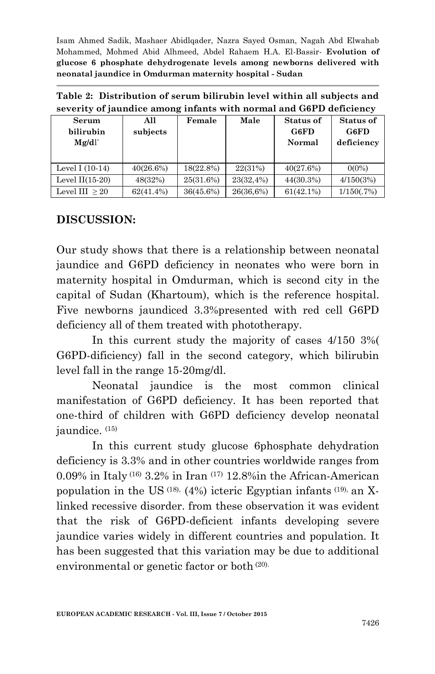| Table 2: Distribution of serum bilirubin level within all subjects and |
|------------------------------------------------------------------------|
| severity of jaundice among infants with normal and G6PD deficiency     |

| Serum<br>bilirubin<br>Mg/dl | All<br>subjects | Female    | Male      | <b>Status of</b><br>G6FD<br>Normal | Status of<br>G6FD<br>deficiency |
|-----------------------------|-----------------|-----------|-----------|------------------------------------|---------------------------------|
| Level I $(10-14)$           | 40(26.6%)       | 18(22.8%) | 22(31%)   | 40(27.6%)                          | $0(0\%)$                        |
| Level $II(15-20)$           | 48(32%)         | 25(31.6%) | 23(32,4%) | $44(30.3\%)$                       | 4/150(3%)                       |
| Level III $>20$             | $62(41.4\%)$    | 36(45.6%) | 26(36,6%) | $61(42.1\%)$                       | 1/150(.7%)                      |

#### **DISCUSSION:**

Our study shows that there is a relationship between neonatal jaundice and G6PD deficiency in neonates who were born in maternity hospital in Omdurman, which is second city in the capital of Sudan (Khartoum), which is the reference hospital. Five newborns jaundiced 3.3%presented with red cell G6PD deficiency all of them treated with phototherapy.

In this current study the majority of cases 4/150 3%( G6PD-dificiency) fall in the second category, which bilirubin level fall in the range 15-20mg/dl.

Neonatal jaundice is the most common clinical manifestation of G6PD deficiency. It has been reported that one-third of children with G6PD deficiency develop neonatal jaundice. (15)

In this current study glucose 6phosphate dehydration deficiency is 3.3% and in other countries worldwide ranges from 0.09% in Italy (16) 3.2% in Iran (17) 12.8%in the African-American population in the US  $(18)$ ,  $(4%)$  icteric Egyptian infants  $(19)$ , an Xlinked recessive disorder. from these observation it was evident that the risk of G6PD-deficient infants developing severe jaundice varies widely in different countries and population. It has been suggested that this variation may be due to additional environmental or genetic factor or both (20).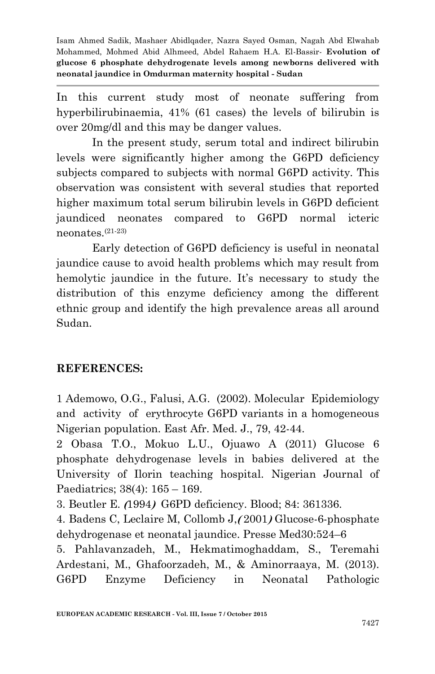In this current study most of neonate suffering from hyperbilirubinaemia, 41% (61 cases) the levels of bilirubin is over 20mg/dl and this may be danger values.

In the present study, serum total and indirect bilirubin levels were significantly higher among the G6PD deficiency subjects compared to subjects with normal G6PD activity. This observation was consistent with several studies that reported higher maximum total serum bilirubin levels in G6PD deficient jaundiced neonates compared to G6PD normal icteric neonates.(21-23)

Early detection of G6PD deficiency is useful in neonatal jaundice cause to avoid health problems which may result from hemolytic jaundice in the future. It's necessary to study the distribution of this enzyme deficiency among the different ethnic group and identify the high prevalence areas all around Sudan.

### **REFERENCES:**

1 Ademowo, O.G., Falusi, A.G. (2002). Molecular Epidemiology and activity of erythrocyte G6PD variants in a homogeneous Nigerian population. East Afr. Med. J., 79, 42-44.

2 Obasa T.O., Mokuo L.U., Ojuawo A (2011) Glucose 6 phosphate dehydrogenase levels in babies delivered at the University of Ilorin teaching hospital. Nigerian Journal of Paediatrics; 38(4): 165 – 169.

3. Beutler E. **)**1994**(** G6PD deficiency. Blood; 84: 361336.

4. Badens C, Leclaire M, Collomb J,**)** 2001**(** Glucose-6-phosphate dehydrogenase et neonatal jaundice. Presse Med30:524–6

5. Pahlavanzadeh, M., Hekmatimoghaddam, S., Teremahi Ardestani, M., Ghafoorzadeh, M., & Aminorraaya, M. (2013). G6PD Enzyme Deficiency in Neonatal Pathologic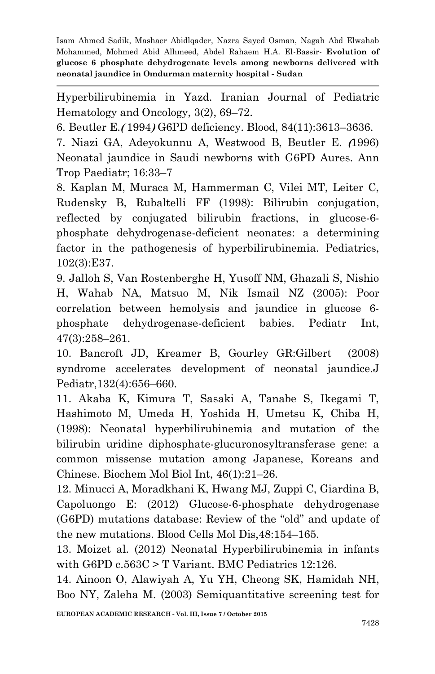Hyperbilirubinemia in Yazd. Iranian Journal of Pediatric Hematology and Oncology, 3(2), 69–72.

6. Beutler E.**)** 1994**(** G6PD deficiency. Blood, 84(11):3613–3636.

7. Niazi GA, Adeyokunnu A, Westwood B, Beutler E. **)**1996) Neonatal jaundice in Saudi newborns with G6PD Aures. Ann Trop Paediatr; 16:33–7

8. Kaplan M, Muraca M, Hammerman C, Vilei MT, Leiter C, Rudensky B, Rubaltelli FF (1998): Bilirubin conjugation, reflected by conjugated bilirubin fractions, in glucose-6 phosphate dehydrogenase-deficient neonates: a determining factor in the pathogenesis of hyperbilirubinemia. Pediatrics, 102(3):E37.

9. Jalloh S, Van Rostenberghe H, Yusoff NM, Ghazali S, Nishio H, Wahab NA, Matsuo M, Nik Ismail NZ (2005): Poor correlation between hemolysis and jaundice in glucose 6 phosphate dehydrogenase-deficient babies. Pediatr Int, 47(3):258–261.

10. Bancroft JD, Kreamer B, Gourley GR:Gilbert (2008) syndrome accelerates development of neonatal jaundice.J Pediatr,132(4):656–660.

11. Akaba K, Kimura T, Sasaki A, Tanabe S, Ikegami T, Hashimoto M, Umeda H, Yoshida H, Umetsu K, Chiba H, (1998): Neonatal hyperbilirubinemia and mutation of the bilirubin uridine diphosphate-glucuronosyltransferase gene: a common missense mutation among Japanese, Koreans and Chinese. Biochem Mol Biol Int, 46(1):21–26.

12. Minucci A, Moradkhani K, Hwang MJ, Zuppi C, Giardina B, Capoluongo E: (2012) Glucose-6-phosphate dehydrogenase (G6PD) mutations database: Review of the "old" and update of the new mutations. Blood Cells Mol Dis,48:154–165.

13. Moizet al. (2012) Neonatal Hyperbilirubinemia in infants with G6PD c.563C > T Variant. BMC Pediatrics 12:126.

14. Ainoon O, Alawiyah A, Yu YH, Cheong SK, Hamidah NH, Boo NY, Zaleha M. (2003) Semiquantitative screening test for